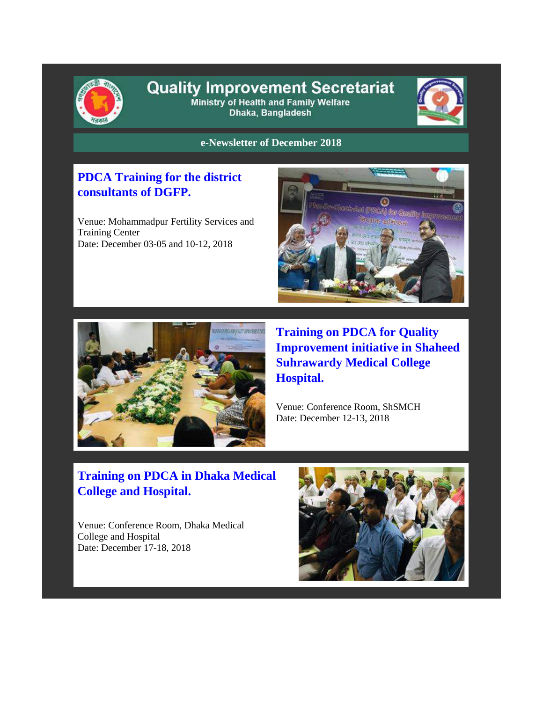

#### **Quality Improvement Secretariat** Ministry of Health and Family Welfare Dhaka, Bangladesh



**e-Newsletter of December 2018**

#### **PDCA Training for the district consultants of DGFP.**

Venue: Mohammadpur Fertility Services and Training Center Date: December 03-05 and 10-12, 2018





**Training on PDCA for Quality Improvement initiative in Shaheed Suhrawardy Medical College Hospital.**

Venue: Conference Room, ShSMCH Date: December 12-13, 2018

# **Training on PDCA in Dhaka Medical College and Hospital.**

Venue: Conference Room, Dhaka Medical College and Hospital Date: December 17-18, 2018

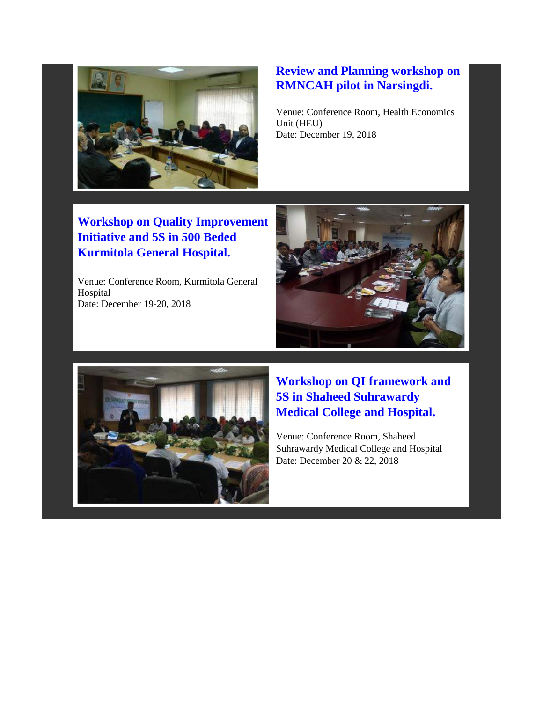

# **Review and Planning workshop on RMNCAH pilot in Narsingdi.**

Venue: Conference Room, Health Economics Unit (HEU) Date: December 19, 2018

**Workshop on Quality Improvement Initiative and 5S in 500 Beded Kurmitola General Hospital.**

Venue: Conference Room, Kurmitola General Hospital Date: December 19-20, 2018





## **Workshop on QI framework and 5S in Shaheed Suhrawardy Medical College and Hospital.**

Venue: Conference Room, Shaheed Suhrawardy Medical College and Hospital Date: December 20 & 22, 2018